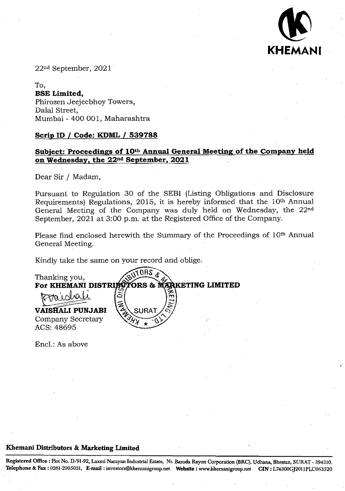

22nd September, 2021

To, **BSE Limited,**  Phirozen Jeejeebhoy Towers, Dalal Street, Mumbai - 400 001, Maharashtra

## **Scrip ID** *I* **Code: KDML** *<sup>1</sup>* **539788**

# **Subject: Proceedings of 10th Annual General Meeting of the Company held on Wednesday, the 22nd September, 2021**

Dear Sir / Madam,

Pursuant to Regulation 30 of the SEBI (Listing Obligations and Disclosure Requirements) Regulations, 2015, it is hereby informed that the 10th Annual General Meeting of the Company was duly held on Wednesday, the 22nd September, 2021 at 3:00 p.m. at the Registered Office of the Company.

Please find enclosed herewith the Summary of the Proceedings of 10<sup>th</sup> Annual General Meeting.

Kindly take the same on your record and oblige.

Thanking you,<br>For KHEMANI DISTRIEUTORS & M2 **For KHEMANI DISTRIPS TORS & MARKETING LIMITED**<br> $\left[\bigtimes \text{pointed}\right]$ **VAISHALI PUNJABI** Company Secretary ACS: 48695

End.: As above

# **Khemani Distributors** & **Marketing Limited**

**Registered Office: Plot No. D/91-92, Laxmi Narayan Industrial Estate, Nt Baj-oda Rayon Corporation (BRC), ljdhana, Bhestan,** SIJRAT- 394210. Telephone & Fax: 0261-2905031, E-mail: investors@khemanigroup.net Website: www.khemanigroup.net CIN: L74300GJ2011PLC063520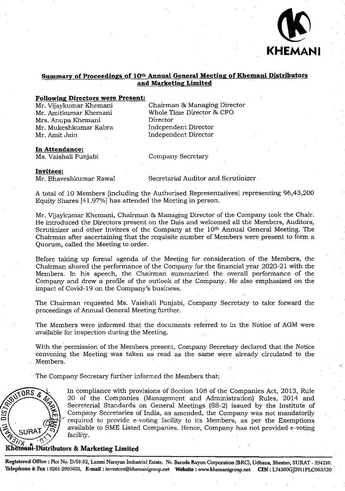

### **Summary of Proceedings of** 10th **Annual General Meeting of Khemani Distributors and Marketing Limited**

### **Following Directors were Present:**

Mr. Vijaykumar Khemani Mr. Amitkumar Khemani Mrs. Anupa Khemani Mr. Mukeshkumar Kabra Mr. Amit Jain

Chairman & Managing Director Whole Time Director & CFO Director Independent Director Independent Director

#### **In Attendance:**

Ms. Vaishali Punjabi

Company Secretary

### **Invitees:**

Mr. Bhaveshkumar Rawal

Secretarial Auditor and Scrutinizer

A total of 10 Members [including the Authorised Representatives] representing 96,43,200 Equity Shares [41.97%] has attended the Meeting in person.

Mr. Vijaykumar Khemani, Chairman & Managing Director of the Company took the Chair. He introduced the Directors present on the Dais and welcomed all the Members, Auditors, Scrutinizer and other Invitees of the Company at the 10<sup>th</sup> Annual General Meeting. The Chairman after ascertaining that the requisite number of Members were present to form a Quorum, called the Meeting to order.

Before taking up formal agenda of the Meeting for consideration of the Members, the Chairman shared the performance of the Company for the financial year 2020-21 with the Members. In his speech, the Chairman summarized the overall performance of the Company and drew a profile of the outlook of the Company. He also emphasized on the impact of Covid-19 on the Company's business.

The Chairman requested Ms. Vaishali Punjabi, Company Secretary to take forward the proceedings of Annual General Meeting further.

The Members were informed that the documents referred to in the Notice of AGM were available for inspection during thc Meeting.

With the permission of the Members present, Company Secretary declared that the Notice convening the Meeting was taken as read as the same were already circulated to the Members.

The Company Secretary further informed the Members that:



 $\sqrt{0RS}$  P. In compliance with provisions of Section 108 of the Companies Act, 2013, Rule 20 of the Companies (Management and Administration) Rules, 2014 and Secreterial Standards on General Meetings (SS-2) issued by the Institute of Company Secretaries of India, as amended, the Company was not mandatorily required to provide e-voting facility to its Members, as per the Exemptions available to SME Listed Companies. Hence, Company has not provided e-voting facility.

# **Khemani-Distributors & Marketing Limited**

**Registered Office: Plot No.** *D191-92,* **Laxmi Narayan Industrial Estate, Nr. Baroda Rayon Corporation (BRC), Udhana, Bliestan, SURAT - 394210.**  Telephone & Fax: 0261-2905031, E-mail: investors@khemanigroup.net Website: www.khemanigroup.net CIN: L74300GJ2011PLC063520